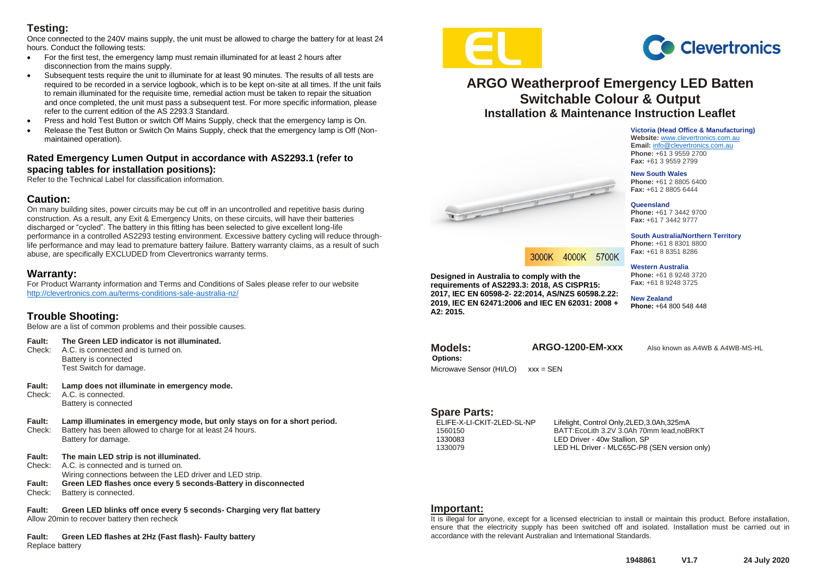## **Testing:**

Once connected to the 240V mains supply, the unit must be allowed to charge the battery for at least 24 hours. Conduct the following tests:

- For the first test, the emergency lamp must remain illuminated for at least 2 hours after disconnection from the mains supply.
- Subsequent tests require the unit to illuminate for at least 90 minutes. The results of all tests are required to be recorded in a service logbook, which is to be kept on-site at all times. If the unit fails to remain illuminated for the requisite time, remedial action must be taken to repair the situation and once completed, the unit must pass a subsequent test. For more specific information, please refer to the current edition of the AS 2293.3 Standard.
- Press and hold Test Button or switch Off Mains Supply, check that the emergency lamp is On.
- Release the Test Button or Switch On Mains Supply, check that the emergency lamp is Off (Nonmaintained operation).

#### **Rated Emergency Lumen Output in accordance with AS2293.1 (refer to spacing tables for installation positions):**

Refer to the Technical Label for classification information.

#### **Caution:**

On many building sites, power circuits may be cut off in an uncontrolled and repetitive basis during construction. As a result, any Exit & Emergency Units, on these circuits, will have their batteries discharged or "cycled". The battery in this fitting has been selected to give excellent long-life performance in a controlled AS2293 testing environment. Excessive battery cycling will reduce throughlife performance and may lead to premature battery failure. Battery warranty claims, as a result of such abuse, are specifically EXCLUDED from Clevertronics warranty terms.

## **Warranty:**

For Product Warranty information and Terms and Conditions of Sales please refer to our website <http://clevertronics.com.au/terms-conditions-sale-australia-nz/>

## **Trouble Shooting:**

Below are a list of common problems and their possible causes.

| The Green LED indicator is not illuminated.<br><b>Fault:</b> |  |
|--------------------------------------------------------------|--|
|--------------------------------------------------------------|--|

- Check: A.C. is connected and is turned on. Battery is connected Test Switch for damage.
- **Fault: Lamp does not illuminate in emergency mode.**  A.C. is connected. Battery is connected
- **Fault: Lamp illuminates in emergency mode, but only stays on for a short period.** Check: Battery has been allowed to charge for at least 24 hours. Battery for damage.
- **Fault: The main LED strip is not illuminated.**
- Check: A.C. is connected and is turned on.
	- Wiring connections between the LED driver and LED strip.
- **Fault: Green LED flashes once every 5 seconds-Battery in disconnected** Check: Battery is connected.

**Fault: Green LED blinks off once every 5 seconds- Charging very flat battery** Allow 20min to recover battery then recheck

**Fault: Green LED flashes at 2Hz (Fast flash)- Faulty battery** Replace battery



**Designed in Australia to comply with the requirements of AS2293.3: 2018, AS CISPR15: 2017, IEC EN 60598-2- 22:2014, AS/NZS 60598.2.22: 2019, IEC EN 62471:2006 and IEC EN 62031: 2008 +** 

West of the Congress of

Microwave Sensor (HI/LO) xxx = SEN



## **ARGO Weatherproof Emergency LED Batten Switchable Colour & Output Installation & Maintenance Instruction Leaflet**

**Victoria (Head Office & Manufacturing) Website:** [www.clevertronics.com.au](http://www.clevertronics.com.au/) **Email:** info@clevertronics.com.au **Phone:** +61 3 9559 2700 **Fax:** +61 3 9559 2799

#### **New South Wales**

**Phone:** +61 2 8805 6400 **Fax:** +61 2 8805 6444

**Queensland Phone:** +61 7 3442 9700 **Fax:** +61 7 3442 9777

**South Australia/Northern Territory Phone:** +61 8 8301 8800 **Fax:** +61 8 8351 8286

#### **Western Australia Phone:** +61 8 9248 3720

**Fax:** +61 8 9248 3725

**New Zealand Phone:** +64 800 548 448

**Options:**

**A2: 2015.**

3000K 4000K 5700K

**Models: ARGO-1200-EM-xxx** Also known as A4WB & A4WB-MS-HL

**Spare Parts:**<br>ELIFE-X-LI-CKIT-2LED-SL-NP

Lifelight, Control Only,2LED,3.0Ah,325mA 1560150 BATT:EcoLith 3.2V 3.0Ah 70mm lead,noBRKT 1330083 LED Driver - 40w Stallion, SP<br>1330079 LED HL Driver - MLC65C-P8 LED HL Driver - MLC65C-P8 (SEN version only)

#### **Important:**

It is illegal for anyone, except for a licensed electrician to install or maintain this product. Before installation, ensure that the electricity supply has been switched off and isolated. Installation must be carried out in accordance with the relevant Australian and International Standards.